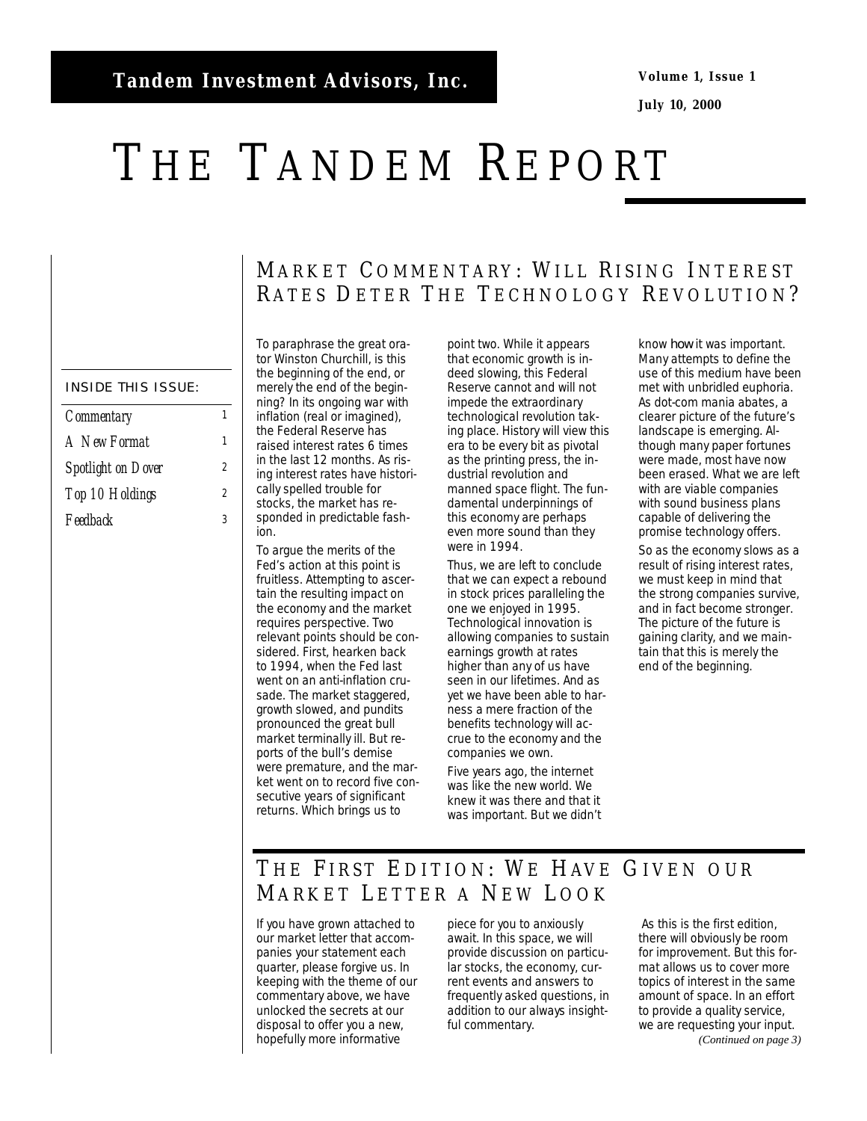**Volume 1, Issue 1** 

**July 10, 2000** 

# <span id="page-0-0"></span>THE TANDEM REPORT

#### INSIDE THIS ISSUE:

| <b>Commentary</b>         |   |
|---------------------------|---|
| A New Format              | 1 |
| <b>Spotlight on Dover</b> | 2 |
| Top 10 Holdings           | 2 |
| Feedback                  | ર |

To paraphrase the great orator Winston Churchill, is this the beginning of the end, or merely the end of the beginning? In its ongoing war with inflation (real or imagined), the Federal Reserve has raised interest rates 6 times in the last 12 months. As rising interest rates have historically spelled trouble for stocks, the market has responded in predictable fashion.

To argue the merits of the Fed's action at this point is fruitless. Attempting to ascertain the resulting impact on the economy and the market requires perspective. Two relevant points should be considered. First, hearken back to 1994, when the Fed last went on an anti-inflation crusade. The market staggered, growth slowed, and pundits pronounced the great bull market terminally ill. But reports of the bull's demise were premature, and the market went on to record five consecutive years of significant returns. Which brings us to

point two. While it appears that economic growth is indeed slowing, this Federal Reserve cannot and will not impede the extraordinary technological revolution taking place. History will view this era to be every bit as pivotal as the printing press, the industrial revolution and manned space flight. The fundamental underpinnings of this economy are perhaps even more sound than they were in 1994.

MARKET COMMENTARY: WILL RISING INTEREST RATES DETER THE TECHNOLOGY REVOLUTION?

> Thus, we are left to conclude that we can expect a rebound in stock prices paralleling the one we enjoyed in 1995. Technological innovation is allowing companies to sustain earnings growth at rates higher than any of us have seen in our lifetimes. And as yet we have been able to harness a mere fraction of the benefits technology will accrue to the economy and the companies we own.

Five years ago, the internet was like the new world. We knew it was there and that it was important. But we didn't know *how* it was important. Many attempts to define the use of this medium have been met with unbridled euphoria. As dot-com mania abates, a clearer picture of the future's landscape is emerging. Although many paper fortunes were made, most have now been erased. What we are left with are viable companies with sound business plans capable of delivering the promise technology offers.

So as the economy slows as a result of rising interest rates, we must keep in mind that the strong companies survive, and in fact become stronger. The picture of the future is gaining clarity, and we maintain that this is merely the end of the beginning.

## THE FIRST EDITION: WE HAVE GIVEN OUR MARKET LETTER A NEW LOOK

If you have grown attached to our market letter that accompanies your statement each quarter, please forgive us. In keeping with the theme of our commentary above, we have unlocked the secrets at our disposal to offer you a new, hopefully more informative

piece for you to anxiously await. In this space, we will provide discussion on particular stocks, the economy, current events and answers to frequently asked questions, in addition to our always insightful commentary.

 As this is the first edition, there will obviously be room for improvement. But this format allows us to cover more topics of interest in the same amount of space. In an effort to provide a quality service, we are requesting your input. *(Continued on page 3)*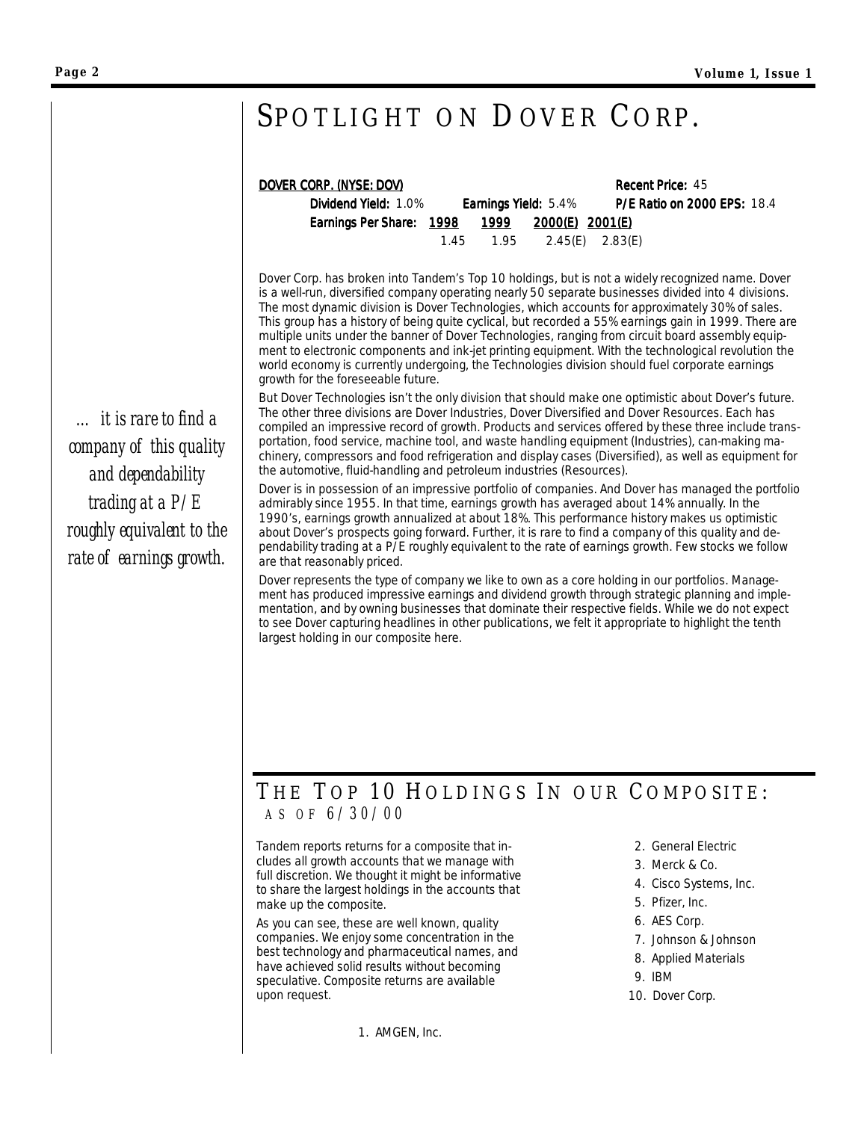# <span id="page-1-0"></span>SPOTLIGHT ON DOVER CORP.

| <u>DOVER CORP. (NYSE: DOV)</u>                |                                   | <b>Recent Price: 45</b>            |  |
|-----------------------------------------------|-----------------------------------|------------------------------------|--|
| <b>Dividend Yield: 1.0%</b>                   | <b>Earnings Yield: 5.4%</b>       | <b>P/E Ratio on 2000 EPS: 18.4</b> |  |
| Earnings Per Share: 1998 1999 2000(E) 2001(E) |                                   |                                    |  |
|                                               | $1.45$ $1.95$ $2.45(E)$ $2.83(E)$ |                                    |  |

Dover Corp. has broken into Tandem's Top 10 holdings, but is not a widely recognized name. Dover is a well-run, diversified company operating nearly 50 separate businesses divided into 4 divisions. The most dynamic division is Dover Technologies, which accounts for approximately 30% of sales. This group has a history of being quite cyclical, but recorded a 55% earnings gain in 1999. There are multiple units under the banner of Dover Technologies, ranging from circuit board assembly equipment to electronic components and ink-jet printing equipment. With the technological revolution the world economy is currently undergoing, the Technologies division should fuel corporate earnings growth for the foreseeable future.

But Dover Technologies isn't the only division that should make one optimistic about Dover's future. The other three divisions are Dover Industries, Dover Diversified and Dover Resources. Each has compiled an impressive record of growth. Products and services offered by these three include transportation, food service, machine tool, and waste handling equipment (Industries), can-making machinery, compressors and food refrigeration and display cases (Diversified), as well as equipment for the automotive, fluid-handling and petroleum industries (Resources).

Dover is in possession of an impressive portfolio of companies. And Dover has managed the portfolio admirably since 1955. In that time, earnings growth has averaged about 14% annually. In the 1990's, earnings growth annualized at about 18%. This performance history makes us optimistic about Dover's prospects going forward. Further, it is rare to find a company of this quality and dependability trading at a P/E roughly equivalent to the rate of earnings growth. Few stocks we follow are that reasonably priced.

Dover represents the type of company we like to own as a core holding in our portfolios. Management has produced impressive earnings and dividend growth through strategic planning and implementation, and by owning businesses that dominate their respective fields. While we do not expect to see Dover capturing headlines in other publications, we felt it appropriate to highlight the tenth largest holding in our composite here.

## THE TOP 10 HOLDINGS IN OUR COMPOSITE: *A S O F 6/30/00*

Tandem reports returns for a composite that includes all growth accounts that we manage with full discretion. We thought it might be informative to share the largest holdings in the accounts that make up the composite.

As you can see, these are well known, quality companies. We enjoy some concentration in the best technology and pharmaceutical names, and have achieved solid results without becoming speculative. Composite returns are available upon request.

1. AMGEN, Inc.

- 2. General Electric
- 3. Merck & Co.
- 4. Cisco Systems, Inc.
- 5. Pfizer, Inc.
- 6. AES Corp.
- 7. Johnson & Johnson
- 8. Applied Materials
- 9. IBM
- 10. Dover Corp.

*… it is rare to find a company of this quality and dependability trading at a P/E roughly equivalent to the rate of earnings growth.*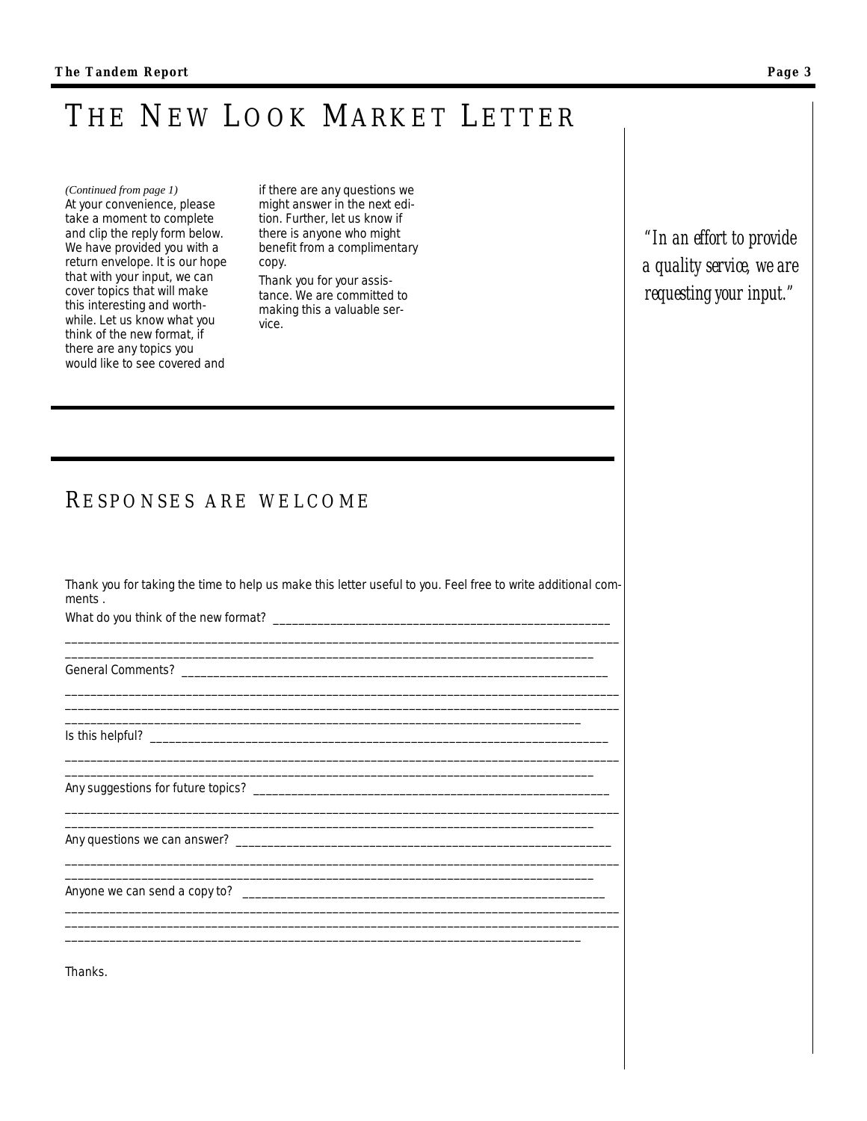# <span id="page-2-0"></span>THE NEW LOOK MARKET LETTER

*(Continued from page 1)* At your convenience, please take a moment to complete and clip the reply form below. We have provided you with a return envelope. It is our hope that with your input, we can cover topics that will make this interesting and worthwhile. Let us know what you think of the new format, if there are any topics you would like to see covered and

if there are any questions we might answer in the next edition. Further, let us know if there is anyone who might benefit from a complimentary copy. Thank you for your assistance. We are committed to making this a valuable ser-

vice.

*"In an effort to provide a quality service, we are requesting your input."* 

### R ESPONSES ARE WELCOME

Thank you for taking the time to help us make this letter useful to you. Feel free to write additional comments .

\_\_\_\_\_\_\_\_\_\_\_\_\_\_\_\_\_\_\_\_\_\_\_\_\_\_\_\_\_\_\_\_\_\_\_\_\_\_\_\_\_\_\_\_\_\_\_\_\_\_\_\_\_\_\_\_\_\_\_\_\_\_\_\_\_\_\_\_\_\_\_\_\_\_\_\_\_\_\_\_\_\_\_\_\_\_\_ \_\_\_\_\_\_\_\_\_\_\_\_\_\_\_\_\_\_\_\_\_\_\_\_\_\_\_\_\_\_\_\_\_\_\_\_\_\_\_\_\_\_\_\_\_\_\_\_\_\_\_\_\_\_\_\_\_\_\_\_\_\_\_\_\_\_\_\_\_\_\_\_\_\_\_\_\_\_\_\_\_\_\_

\_\_\_\_\_\_\_\_\_\_\_\_\_\_\_\_\_\_\_\_\_\_\_\_\_\_\_\_\_\_\_\_\_\_\_\_\_\_\_\_\_\_\_\_\_\_\_\_\_\_\_\_\_\_\_\_\_\_\_\_\_\_\_\_\_\_\_\_\_\_\_\_\_\_\_\_\_\_\_\_\_\_\_\_\_\_\_ \_\_\_\_\_\_\_\_\_\_\_\_\_\_\_\_\_\_\_\_\_\_\_\_\_\_\_\_\_\_\_\_\_\_\_\_\_\_\_\_\_\_\_\_\_\_\_\_\_\_\_\_\_\_\_\_\_\_\_\_\_\_\_\_\_\_\_\_\_\_\_\_\_\_\_\_\_\_\_\_\_\_\_\_\_\_\_ \_\_\_\_\_\_\_\_\_\_\_\_\_\_\_\_\_\_\_\_\_\_\_\_\_\_\_\_\_\_\_\_\_\_\_\_\_\_\_\_\_\_\_\_\_\_\_\_\_\_\_\_\_\_\_\_\_\_\_\_\_\_\_\_\_\_\_\_\_\_\_\_\_\_\_\_\_\_\_\_\_

\_\_\_\_\_\_\_\_\_\_\_\_\_\_\_\_\_\_\_\_\_\_\_\_\_\_\_\_\_\_\_\_\_\_\_\_\_\_\_\_\_\_\_\_\_\_\_\_\_\_\_\_\_\_\_\_\_\_\_\_\_\_\_\_\_\_\_\_\_\_\_\_\_\_\_\_\_\_\_\_\_\_\_

\_\_\_\_\_\_\_\_\_\_\_\_\_\_\_\_\_\_\_\_\_\_\_\_\_\_\_\_\_\_\_\_\_\_\_\_\_\_\_\_\_\_\_\_\_\_\_\_\_\_\_\_\_\_\_\_\_\_\_\_\_\_\_\_\_\_\_\_\_\_\_\_\_\_\_\_\_\_\_\_\_\_\_

\_\_\_\_\_\_\_\_\_\_\_\_\_\_\_\_\_\_\_\_\_\_\_\_\_\_\_\_\_\_\_\_\_\_\_\_\_\_\_\_\_\_\_\_\_\_\_\_\_\_\_\_\_\_\_\_\_\_\_\_\_\_\_\_\_\_\_\_\_\_\_\_\_\_\_\_\_\_\_\_\_\_\_\_\_\_\_ \_\_\_\_\_\_\_\_\_\_\_\_\_\_\_\_\_\_\_\_\_\_\_\_\_\_\_\_\_\_\_\_\_\_\_\_\_\_\_\_\_\_\_\_\_\_\_\_\_\_\_\_\_\_\_\_\_\_\_\_\_\_\_\_\_\_\_\_\_\_\_\_\_\_\_\_\_\_\_\_\_\_\_\_\_\_\_ \_\_\_\_\_\_\_\_\_\_\_\_\_\_\_\_\_\_\_\_\_\_\_\_\_\_\_\_\_\_\_\_\_\_\_\_\_\_\_\_\_\_\_\_\_\_\_\_\_\_\_\_\_\_\_\_\_\_\_\_\_\_\_\_\_\_\_\_\_\_\_\_\_\_\_\_\_\_\_\_\_

\_\_\_\_\_\_\_\_\_\_\_\_\_\_\_\_\_\_\_\_\_\_\_\_\_\_\_\_\_\_\_\_\_\_\_\_\_\_\_\_\_\_\_\_\_\_\_\_\_\_\_\_\_\_\_\_\_\_\_\_\_\_\_\_\_\_\_\_\_\_\_\_\_\_\_\_\_\_\_\_\_\_\_\_\_\_\_ \_\_\_\_\_\_\_\_\_\_\_\_\_\_\_\_\_\_\_\_\_\_\_\_\_\_\_\_\_\_\_\_\_\_\_\_\_\_\_\_\_\_\_\_\_\_\_\_\_\_\_\_\_\_\_\_\_\_\_\_\_\_\_\_\_\_\_\_\_\_\_\_\_\_\_\_\_\_\_\_\_\_\_

 $\_$  , and the set of the set of the set of the set of the set of the set of the set of the set of the set of the set of the set of the set of the set of the set of the set of the set of the set of the set of the set of th

What do you think of the new format?

General Comments? \_\_\_\_\_\_\_\_\_\_\_\_\_\_\_\_\_\_\_\_\_\_\_\_\_\_\_\_\_\_\_\_\_\_\_\_\_\_\_\_\_\_\_\_\_\_\_\_\_\_\_\_\_\_\_\_\_\_\_\_\_\_\_\_\_\_\_

Is this helpful? \_\_\_\_\_\_\_\_\_\_\_\_\_\_\_\_\_\_\_\_\_\_\_\_\_\_\_\_\_\_\_\_\_\_\_\_\_\_\_\_\_\_\_\_\_\_\_\_\_\_\_\_\_\_\_\_\_\_\_\_\_\_\_\_\_\_\_\_\_\_\_\_

Any suggestions for future topics? \_\_\_\_\_\_\_\_\_\_\_\_\_\_\_\_\_\_\_\_\_\_\_\_\_\_\_\_\_\_\_\_\_\_\_\_\_\_\_\_\_\_\_\_\_\_\_\_\_\_\_\_\_\_\_\_

Any questions we can answer? \_\_\_\_\_\_\_\_\_\_\_\_\_\_\_\_\_\_\_\_\_\_\_\_\_\_\_\_\_\_\_\_\_\_\_\_\_\_\_\_\_\_\_\_\_\_\_\_\_\_\_\_\_\_\_\_\_\_\_

Anyone we can send a copy to? \_\_\_\_\_\_\_\_\_\_\_\_\_\_\_\_\_\_\_\_\_\_\_\_\_\_\_\_\_\_\_\_\_\_\_\_\_\_\_\_\_\_\_\_\_\_\_\_\_\_\_\_\_\_\_\_\_

Thanks.